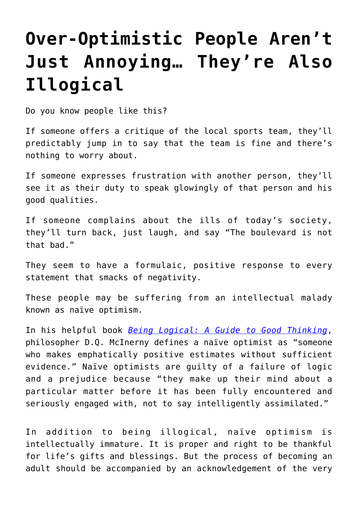## **[Over-Optimistic People Aren't](https://intellectualtakeout.org/2018/02/over-optimistic-people-arent-just-annoying-theyre-also-illogical/) [Just Annoying… They're Also](https://intellectualtakeout.org/2018/02/over-optimistic-people-arent-just-annoying-theyre-also-illogical/) [Illogical](https://intellectualtakeout.org/2018/02/over-optimistic-people-arent-just-annoying-theyre-also-illogical/)**

Do you know people like this?

If someone offers a critique of the local sports team, they'll predictably jump in to say that the team is fine and there's nothing to worry about.

If someone expresses frustration with another person, they'll see it as their duty to speak glowingly of that person and his good qualities.

If someone complains about the ills of today's society, they'll turn back, just laugh, and say "The boulevard is not that bad."

They seem to have a formulaic, positive response to every statement that smacks of negativity.

These people may be suffering from an intellectual malady known as naïve optimism.

In his helpful book *[Being Logical: A Guide to Good Thinking](http://amzn.to/2xzwbfe)*, philosopher D.Q. McInerny defines a naïve optimist as "someone who makes emphatically positive estimates without sufficient evidence." Naïve optimists are guilty of a failure of logic and a prejudice because "they make up their mind about a particular matter before it has been fully encountered and seriously engaged with, not to say intelligently assimilated."

In addition to being illogical, naïve optimism is intellectually immature. It is proper and right to be thankful for life's gifts and blessings. But the process of becoming an adult should be accompanied by an acknowledgement of the very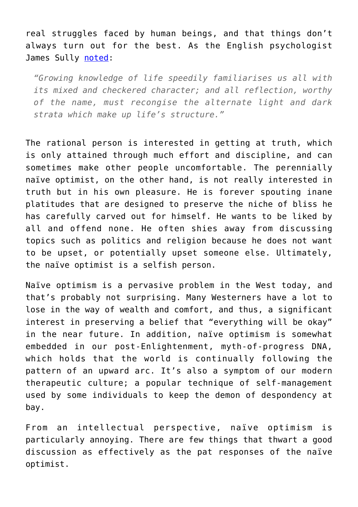real struggles faced by human beings, and that things don't always turn out for the best. As the English psychologist James Sully [noted:](https://books.google.com/books?id=ZCFHAAAAIAAJ&pg=PA476&dq=%22optimism%22&hl=en&sa=X&ved=0ahUKEwi98sqU35jXAhVU72MKHVHSCT0Q6AEILjAB#v=onepage&q=%22optimism%22&f=false)

*"Growing knowledge of life speedily familiarises us all with its mixed and checkered character; and all reflection, worthy of the name, must recongise the alternate light and dark strata which make up life's structure."*

The rational person is interested in getting at truth, which is only attained through much effort and discipline, and can sometimes make other people uncomfortable. The perennially naïve optimist, on the other hand, is not really interested in truth but in his own pleasure. He is forever spouting inane platitudes that are designed to preserve the niche of bliss he has carefully carved out for himself. He wants to be liked by all and offend none. He often shies away from discussing topics such as politics and religion because he does not want to be upset, or potentially upset someone else. Ultimately, the naïve optimist is a selfish person.

Naïve optimism is a pervasive problem in the West today, and that's probably not surprising. Many Westerners have a lot to lose in the way of wealth and comfort, and thus, a significant interest in preserving a belief that "everything will be okay" in the near future. In addition, naïve optimism is somewhat embedded in our post-Enlightenment, myth-of-progress DNA, which holds that the world is continually following the pattern of an upward arc. It's also a symptom of our modern therapeutic culture; a popular technique of self-management used by some individuals to keep the demon of despondency at bay.

From an intellectual perspective, naïve optimism is particularly annoying. There are few things that thwart a good discussion as effectively as the pat responses of the naïve optimist.